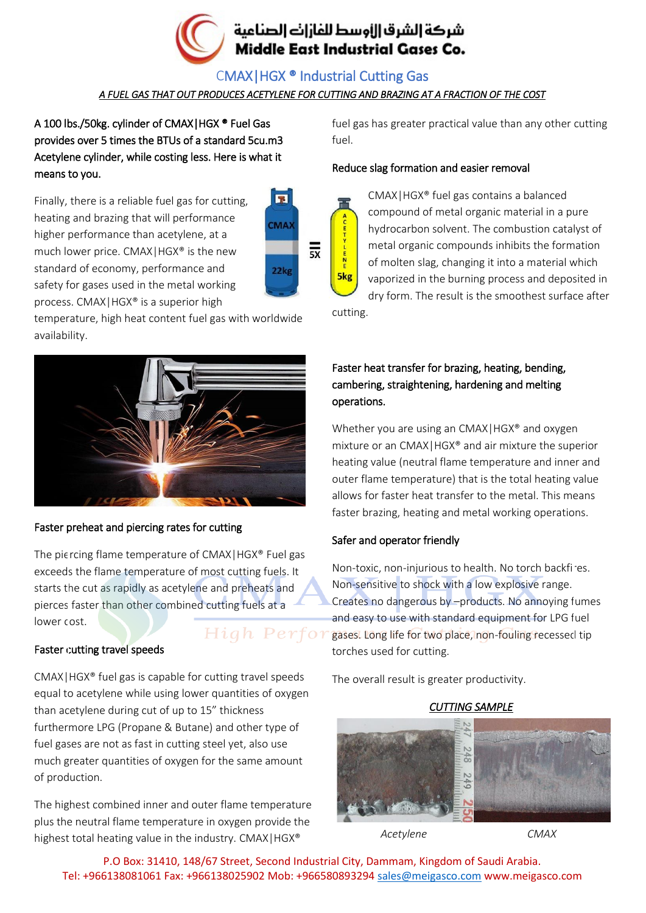

CMAX|HGX ® Industrial Cutting Gas

## *A FUEL GAS THAT OUT PRODUCES ACETYLENE FOR CUTTING AND BRAZING AT A FRACTION OF THE COST*

A 100 lbs./50kg. cylinder of CMAX|HGX ® Fuel Gas provides over 5 times the BTUs of a standard 5cu.m3 Acetylene cylinder, while costing less. Here is what it means to you.

Finally, there is a reliable fuel gas for cutting, heating and brazing that will performance higher performance than acetylene, at a much lower price. CMAX|HGX® is the new standard of economy, performance and safety for gases used in the metal working process. CMAX|HGX® is a superior high



temperature, high heat content fuel gas with worldwide availability.



### Faster preheat and piercing rates for cutting

The piercing flame temperature of CMAX|HGX® Fuel gas exceeds the flame temperature of most cutting fuels. It starts the cut as rapidly as acetylene and preheats and pierces faster than other combined cutting fuels at a lower cost.

#### Faster cutting travel speeds

CMAX|HGX® fuel gas is capable for cutting travel speeds equal to acetylene while using lower quantities of oxygen than acetylene during cut of up to 15" thickness furthermore LPG (Propane & Butane) and other type of fuel gases are not as fast in cutting steel yet, also use much greater quantities of oxygen for the same amount of production.

The highest combined inner and outer flame temperature plus the neutral flame temperature in oxygen provide the highest total heating value in the industry. CMAX | HGX®

fuel gas has greater practical value than any other cutting fuel.

#### Reduce slag formation and easier removal



CMAX|HGX® fuel gas contains a balanced compound of metal organic material in a pure hydrocarbon solvent. The combustion catalyst of metal organic compounds inhibits the formation of molten slag, changing it into a material which vaporized in the burning process and deposited in dry form. The result is the smoothest surface after

cutting.

## Faster heat transfer for brazing, heating, bending, cambering, straightening, hardening and melting operations.

Whether you are using an CMAXIHGX<sup>®</sup> and oxygen mixture or an CMAX|HGX® and air mixture the superior heating value (neutral flame temperature and inner and outer flame temperature) that is the total heating value allows for faster heat transfer to the metal. This means faster brazing, heating and metal working operations.

### Safer and operator friendly

Non-toxic, non-injurious to health. No torch backfires. Non-sensitive to shock with a low explosive range. Creates no dangerous by –products. No annoying fumes and easy to use with standard equipment for LPG fuel  $High$   $Perfor$  gases. Long life for two place, non-fouling recessed tip torches used for cutting.

The overall result is greater productivity.

### *CUTTING SAMPLE*



*Acetylene CMAX*

P.O Box: 31410, 148/67 Street, Second Industrial City, Dammam, Kingdom of Saudi Arabia. Tel: +966138081061 Fax: +966138025902 Mob: +966580893294 [sales@meigasco.com](mailto:sales@meigasco.com) www.meigasco.com